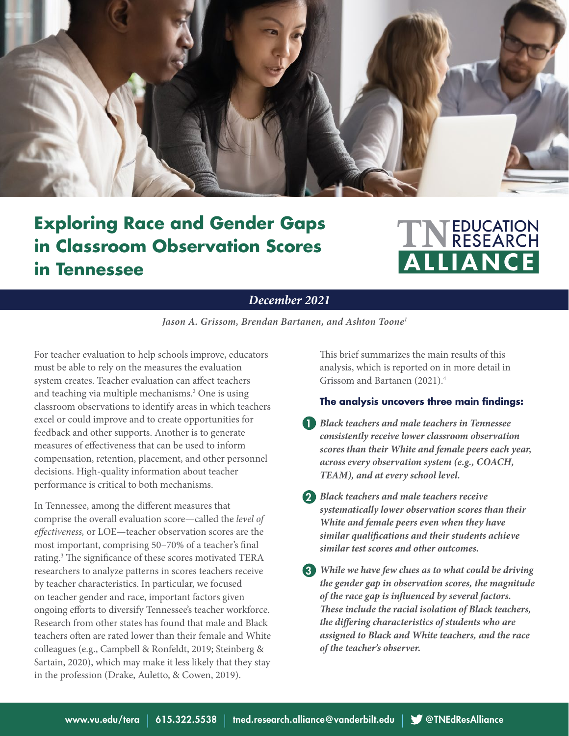

# **Exploring Race and Gender Gaps in Classroom Observation Scores in Tennessee**

# TN EDUCATION ALLIANCE

### *December 2021*

*Jason A. Grissom, Brendan Bartanen, and Ashton Toone1*

For teacher evaluation to help schools improve, educators must be able to rely on the measures the evaluation system creates. Teacher evaluation can affect teachers and teaching via multiple mechanisms.<sup>2</sup> One is using classroom observations to identify areas in which teachers excel or could improve and to create opportunities for feedback and other supports. Another is to generate measures of effectiveness that can be used to inform compensation, retention, placement, and other personnel decisions. High-quality information about teacher performance is critical to both mechanisms.

In Tennessee, among the different measures that comprise the overall evaluation score—called the *level of effectiveness,* or LOE—teacher observation scores are the most important, comprising 50–70% of a teacher's final rating.<sup>3</sup> The significance of these scores motivated TERA researchers to analyze patterns in scores teachers receive by teacher characteristics. In particular, we focused on teacher gender and race, important factors given ongoing efforts to diversify Tennessee's teacher workforce. Research from other states has found that male and Black teachers often are rated lower than their female and White colleagues (e.g., Campbell & Ronfeldt, 2019; Steinberg & Sartain, 2020), which may make it less likely that they stay in the profession (Drake, Auletto, & Cowen, 2019).

This brief summarizes the main results of this analysis, which is reported on in more detail in Grissom and Bartanen (2021).<sup>4</sup>

#### **The analysis uncovers three main findings:**

- *Black teachers and male teachers in Tennessee*  1 *consistently receive lower classroom observation scores than their White and female peers each year, across every observation system (e.g., COACH, TEAM), and at every school level.*
- *Black teachers and male teachers receive*  2 *systematically lower observation scores than their White and female peers even when they have similar qualifications and their students achieve similar test scores and other outcomes.*
- *While we have few clues as to what could be driving*  3 *the gender gap in observation scores, the magnitude of the race gap is influenced by several factors. These include the racial isolation of Black teachers, the differing characteristics of students who are assigned to Black and White teachers, and the race of the teacher's observer.*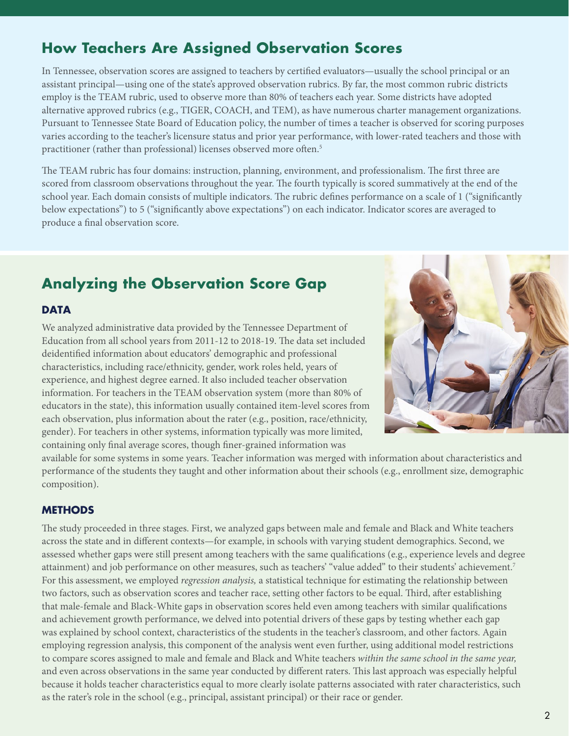# **How Teachers Are Assigned Observation Scores**

In Tennessee, observation scores are assigned to teachers by certified evaluators—usually the school principal or an assistant principal—using one of the state's approved observation rubrics. By far, the most common rubric districts employ is the TEAM rubric, used to observe more than 80% of teachers each year. Some districts have adopted alternative approved rubrics (e.g., TIGER, COACH, and TEM), as have numerous charter management organizations. Pursuant to Tennessee State Board of Education policy, the number of times a teacher is observed for scoring purposes varies according to the teacher's licensure status and prior year performance, with lower-rated teachers and those with practitioner (rather than professional) licenses observed more often.<sup>5</sup>

The TEAM rubric has four domains: instruction, planning, environment, and professionalism. The first three are scored from classroom observations throughout the year. The fourth typically is scored summatively at the end of the school year. Each domain consists of multiple indicators. The rubric defines performance on a scale of 1 ("significantly below expectations") to 5 ("significantly above expectations") on each indicator. Indicator scores are averaged to produce a final observation score.

# **Analyzing the Observation Score Gap**

#### **DATA**

We analyzed administrative data provided by the Tennessee Department of Education from all school years from 2011-12 to 2018-19. The data set included deidentified information about educators' demographic and professional characteristics, including race/ethnicity, gender, work roles held, years of experience, and highest degree earned. It also included teacher observation information. For teachers in the TEAM observation system (more than 80% of educators in the state), this information usually contained item-level scores from each observation, plus information about the rater (e.g., position, race/ethnicity, gender). For teachers in other systems, information typically was more limited, containing only final average scores, though finer-grained information was



available for some systems in some years. Teacher information was merged with information about characteristics and performance of the students they taught and other information about their schools (e.g., enrollment size, demographic composition).

#### **METHODS**

The study proceeded in three stages. First, we analyzed gaps between male and female and Black and White teachers across the state and in different contexts—for example, in schools with varying student demographics. Second, we assessed whether gaps were still present among teachers with the same qualifications (e.g., experience levels and degree attainment) and job performance on other measures, such as teachers' "value added" to their students' achievement.<sup>7</sup> For this assessment, we employed *regression analysis,* a statistical technique for estimating the relationship between two factors, such as observation scores and teacher race, setting other factors to be equal. Third, after establishing that male-female and Black-White gaps in observation scores held even among teachers with similar qualifications and achievement growth performance, we delved into potential drivers of these gaps by testing whether each gap was explained by school context, characteristics of the students in the teacher's classroom, and other factors. Again employing regression analysis, this component of the analysis went even further, using additional model restrictions to compare scores assigned to male and female and Black and White teachers *within the same school in the same year,*  and even across observations in the same year conducted by different raters. This last approach was especially helpful because it holds teacher characteristics equal to more clearly isolate patterns associated with rater characteristics, such as the rater's role in the school (e.g., principal, assistant principal) or their race or gender.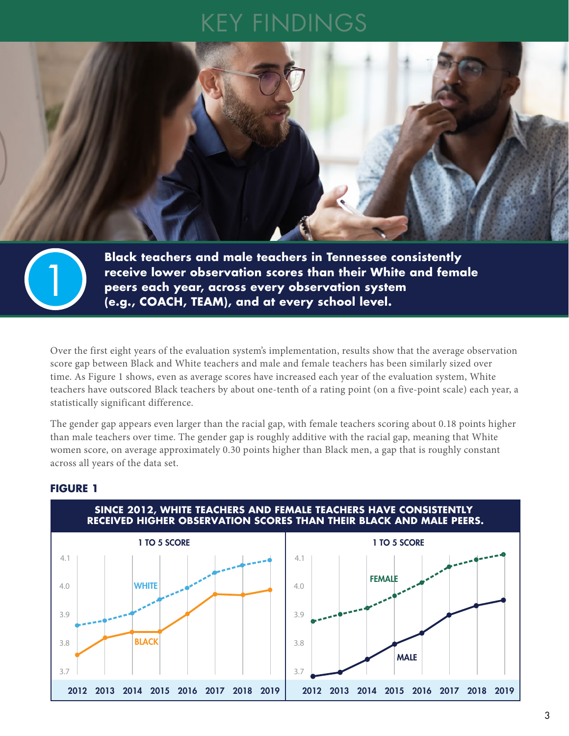# KEY FINDINGS



**Black teachers and male teachers in Tennessee consistently receive lower observation scores than their White and female peers each year, across every observation system** 1 **(e.g., COACH, TEAM), and at every school level.** 

Over the first eight years of the evaluation system's implementation, results show that the average observation score gap between Black and White teachers and male and female teachers has been similarly sized over time. As Figure 1 shows, even as average scores have increased each year of the evaluation system, White teachers have outscored Black teachers by about one-tenth of a rating point (on a five-point scale) each year, a statistically significant difference.

The gender gap appears even larger than the racial gap, with female teachers scoring about 0.18 points higher than male teachers over time. The gender gap is roughly additive with the racial gap, meaning that White women score, on average approximately 0.30 points higher than Black men, a gap that is roughly constant across all years of the data set.



#### **FIGURE 1**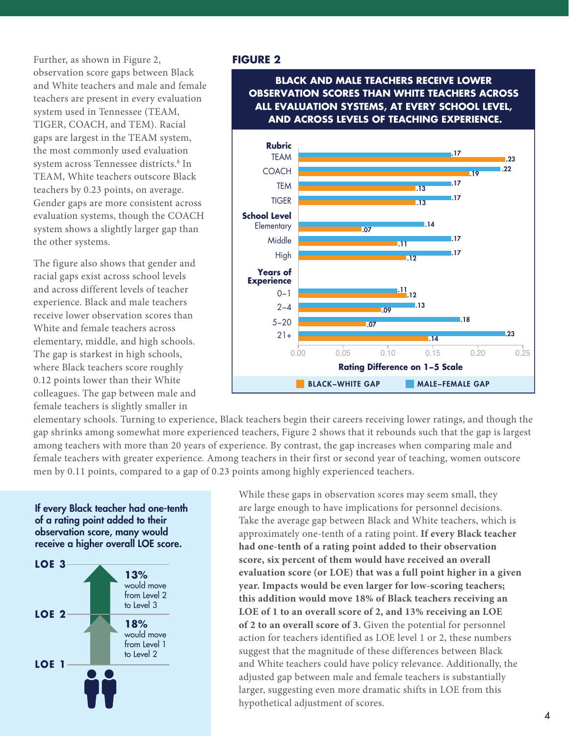Further, as shown in Figure 2, observation score gaps between Black and White teachers and male and female teachers are present in every evaluation system used in Tennessee (TEAM, TIGER, COACH, and TEM). Racial gaps are largest in the TEAM system, the most commonly used evaluation system across Tennessee districts.8 In TEAM, White teachers outscore Black teachers by 0.23 points, on average. Gender gaps are more consistent across evaluation systems, though the COACH system shows a slightly larger gap than the other systems.

The figure also shows that gender and racial gaps exist across school levels and across different levels of teacher experience. Black and male teachers receive lower observation scores than White and female teachers across elementary, middle, and high schools. The gap is starkest in high schools, where Black teachers score roughly 0.12 points lower than their White colleagues. The gap between male and female teachers is slightly smaller in

### **FIGURE 2**

**BLACK AND MALE TEACHERS RECEIVE LOWER OBSERVATION SCORES THAN WHITE TEACHERS ACROSS ALL EVALUATION SYSTEMS, AT EVERY SCHOOL LEVEL, AND ACROSS LEVELS OF TEACHING EXPERIENCE.**



elementary schools. Turning to experience, Black teachers begin their careers receiving lower ratings, and though the gap shrinks among somewhat more experienced teachers, Figure 2 shows that it rebounds such that the gap is largest among teachers with more than 20 years of experience. By contrast, the gap increases when comparing male and female teachers with greater experience. Among teachers in their first or second year of teaching, women outscore men by 0.11 points, compared to a gap of 0.23 points among highly experienced teachers.

#### If every Black teacher had one-tenth of a rating point added to their observation score, many would receive a higher overall LOE score.



While these gaps in observation scores may seem small, they are large enough to have implications for personnel decisions. Take the average gap between Black and White teachers, which is approximately one-tenth of a rating point. **If every Black teacher had one-tenth of a rating point added to their observation score, six percent of them would have received an overall evaluation score (or LOE) that was a full point higher in a given year. Impacts would be even larger for low-scoring teachers; this addition would move 18% of Black teachers receiving an LOE of 1 to an overall score of 2, and 13% receiving an LOE of 2 to an overall score of 3.** Given the potential for personnel action for teachers identified as LOE level 1 or 2, these numbers suggest that the magnitude of these differences between Black and White teachers could have policy relevance. Additionally, the adjusted gap between male and female teachers is substantially larger, suggesting even more dramatic shifts in LOE from this hypothetical adjustment of scores.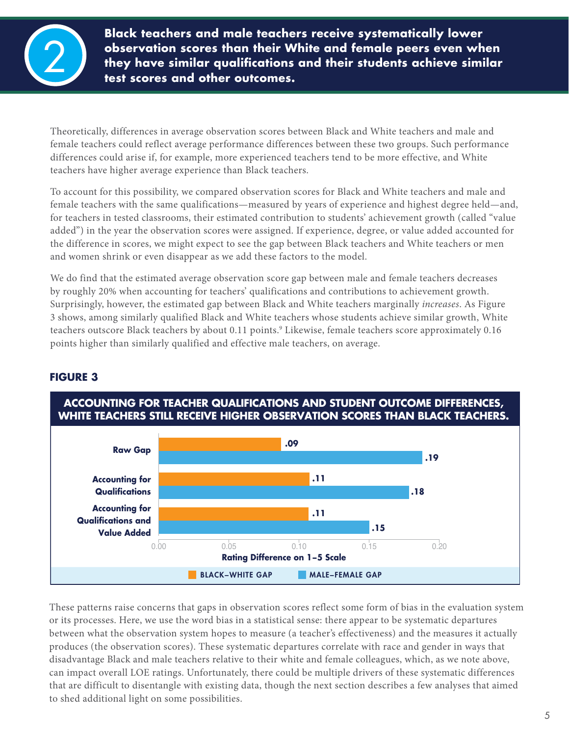

**Black teachers and male teachers receive systematically lower observation scores than their White and female peers even when they have similar qualifications and their students achieve similar** 2 **test scores and other outcomes.**

Theoretically, differences in average observation scores between Black and White teachers and male and female teachers could reflect average performance differences between these two groups. Such performance differences could arise if, for example, more experienced teachers tend to be more effective, and White teachers have higher average experience than Black teachers.

To account for this possibility, we compared observation scores for Black and White teachers and male and female teachers with the same qualifications—measured by years of experience and highest degree held—and, for teachers in tested classrooms, their estimated contribution to students' achievement growth (called "value added") in the year the observation scores were assigned. If experience, degree, or value added accounted for the difference in scores, we might expect to see the gap between Black teachers and White teachers or men and women shrink or even disappear as we add these factors to the model.

We do find that the estimated average observation score gap between male and female teachers decreases by roughly 20% when accounting for teachers' qualifications and contributions to achievement growth. Surprisingly, however, the estimated gap between Black and White teachers marginally *increases*. As Figure 3 shows, among similarly qualified Black and White teachers whose students achieve similar growth, White teachers outscore Black teachers by about 0.11 points.<sup>9</sup> Likewise, female teachers score approximately 0.16 points higher than similarly qualified and effective male teachers, on average.



## **FIGURE 3**

These patterns raise concerns that gaps in observation scores reflect some form of bias in the evaluation system or its processes. Here, we use the word bias in a statistical sense: there appear to be systematic departures between what the observation system hopes to measure (a teacher's effectiveness) and the measures it actually produces (the observation scores). These systematic departures correlate with race and gender in ways that disadvantage Black and male teachers relative to their white and female colleagues, which, as we note above, can impact overall LOE ratings. Unfortunately, there could be multiple drivers of these systematic differences that are difficult to disentangle with existing data, though the next section describes a few analyses that aimed to shed additional light on some possibilities.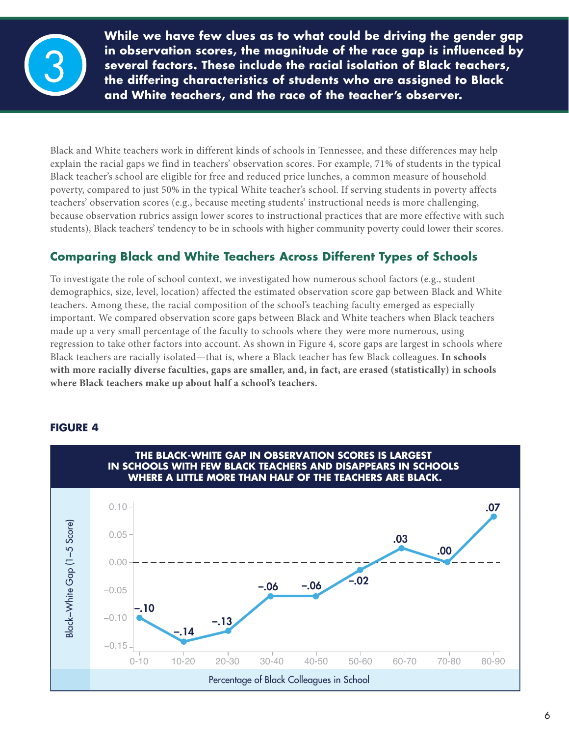

**While we have few clues as to what could be driving the gender gap in observation scores, the magnitude of the race gap is influenced by several factors. These include the racial isolation of Black teachers, the differing characteristics of students who are assigned to Black and White teachers, and the race of the teacher's observer.**

Black and White teachers work in different kinds of schools in Tennessee, and these differences may help explain the racial gaps we find in teachers' observation scores. For example, 71% of students in the typical Black teacher's school are eligible for free and reduced price lunches, a common measure of household poverty, compared to just 50% in the typical White teacher's school. If serving students in poverty affects teachers' observation scores (e.g., because meeting students' instructional needs is more challenging, because observation rubrics assign lower scores to instructional practices that are more effective with such students), Black teachers' tendency to be in schools with higher community poverty could lower their scores.

# **Comparing Black and White Teachers Across Different Types of Schools**

To investigate the role of school context, we investigated how numerous school factors (e.g., student demographics, size, level, location) affected the estimated observation score gap between Black and White teachers. Among these, the racial composition of the school's teaching faculty emerged as especially important. We compared observation score gaps between Black and White teachers when Black teachers made up a very small percentage of the faculty to schools where they were more numerous, using regression to take other factors into account. As shown in Figure 4, score gaps are largest in schools where Black teachers are racially isolated—that is, where a Black teacher has few Black colleagues. **In schools with more racially diverse faculties, gaps are smaller, and, in fact, are erased (statistically) in schools where Black teachers make up about half a school's teachers.** 



### **FIGURE 4**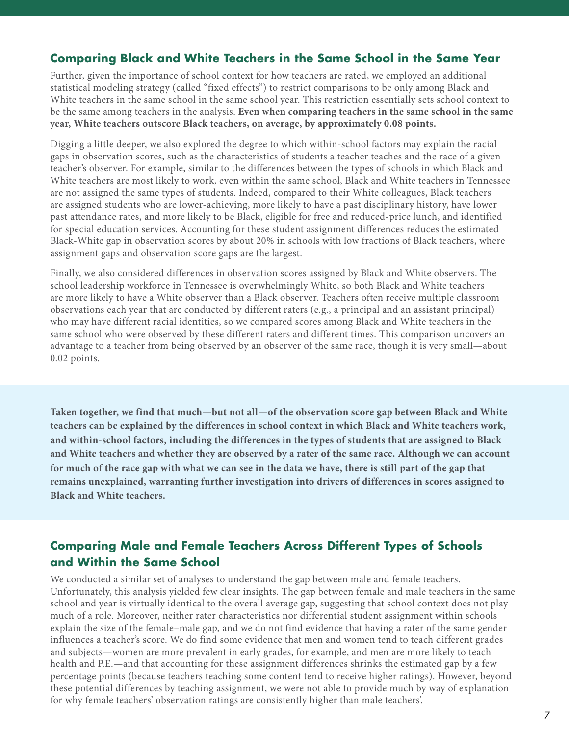## **Comparing Black and White Teachers in the Same School in the Same Year**

Further, given the importance of school context for how teachers are rated, we employed an additional statistical modeling strategy (called "fixed effects") to restrict comparisons to be only among Black and White teachers in the same school in the same school year. This restriction essentially sets school context to be the same among teachers in the analysis. **Even when comparing teachers in the same school in the same year, White teachers outscore Black teachers, on average, by approximately 0.08 points.** 

Digging a little deeper, we also explored the degree to which within-school factors may explain the racial gaps in observation scores, such as the characteristics of students a teacher teaches and the race of a given teacher's observer. For example, similar to the differences between the types of schools in which Black and White teachers are most likely to work, even within the same school, Black and White teachers in Tennessee are not assigned the same types of students. Indeed, compared to their White colleagues, Black teachers are assigned students who are lower-achieving, more likely to have a past disciplinary history, have lower past attendance rates, and more likely to be Black, eligible for free and reduced-price lunch, and identified for special education services. Accounting for these student assignment differences reduces the estimated Black-White gap in observation scores by about 20% in schools with low fractions of Black teachers, where assignment gaps and observation score gaps are the largest.

Finally, we also considered differences in observation scores assigned by Black and White observers. The school leadership workforce in Tennessee is overwhelmingly White, so both Black and White teachers are more likely to have a White observer than a Black observer. Teachers often receive multiple classroom observations each year that are conducted by different raters (e.g., a principal and an assistant principal) who may have different racial identities, so we compared scores among Black and White teachers in the same school who were observed by these different raters and different times. This comparison uncovers an advantage to a teacher from being observed by an observer of the same race, though it is very small—about 0.02 points.

**Taken together, we find that much—but not all—of the observation score gap between Black and White teachers can be explained by the differences in school context in which Black and White teachers work, and within-school factors, including the differences in the types of students that are assigned to Black and White teachers and whether they are observed by a rater of the same race. Although we can account for much of the race gap with what we can see in the data we have, there is still part of the gap that remains unexplained, warranting further investigation into drivers of differences in scores assigned to Black and White teachers.**

## **Comparing Male and Female Teachers Across Different Types of Schools and Within the Same School**

We conducted a similar set of analyses to understand the gap between male and female teachers. Unfortunately, this analysis yielded few clear insights. The gap between female and male teachers in the same school and year is virtually identical to the overall average gap, suggesting that school context does not play much of a role. Moreover, neither rater characteristics nor differential student assignment within schools explain the size of the female–male gap, and we do not find evidence that having a rater of the same gender influences a teacher's score. We do find some evidence that men and women tend to teach different grades and subjects—women are more prevalent in early grades, for example, and men are more likely to teach health and P.E.—and that accounting for these assignment differences shrinks the estimated gap by a few percentage points (because teachers teaching some content tend to receive higher ratings). However, beyond these potential differences by teaching assignment, we were not able to provide much by way of explanation for why female teachers' observation ratings are consistently higher than male teachers'.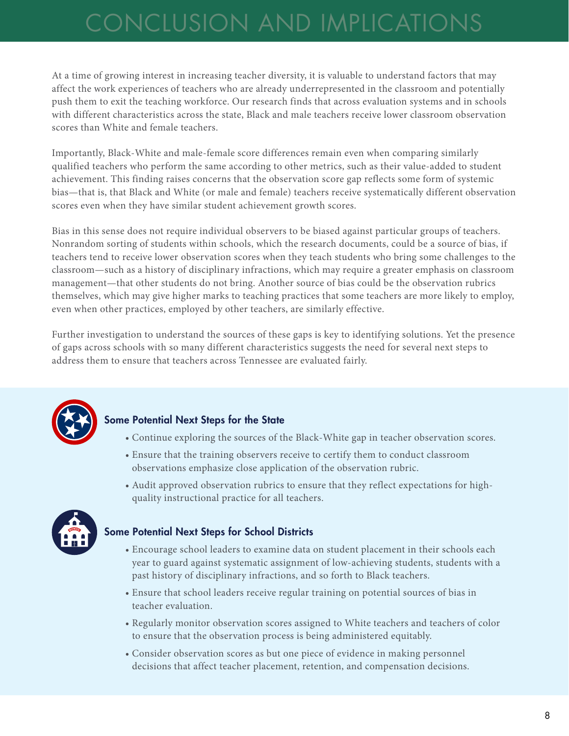# CONCLUSION AND IMPLICATIONS

At a time of growing interest in increasing teacher diversity, it is valuable to understand factors that may affect the work experiences of teachers who are already underrepresented in the classroom and potentially push them to exit the teaching workforce. Our research finds that across evaluation systems and in schools with different characteristics across the state, Black and male teachers receive lower classroom observation scores than White and female teachers.

Importantly, Black-White and male-female score differences remain even when comparing similarly qualified teachers who perform the same according to other metrics, such as their value-added to student achievement. This finding raises concerns that the observation score gap reflects some form of systemic bias—that is, that Black and White (or male and female) teachers receive systematically different observation scores even when they have similar student achievement growth scores.

Bias in this sense does not require individual observers to be biased against particular groups of teachers. Nonrandom sorting of students within schools, which the research documents, could be a source of bias, if teachers tend to receive lower observation scores when they teach students who bring some challenges to the classroom—such as a history of disciplinary infractions, which may require a greater emphasis on classroom management—that other students do not bring. Another source of bias could be the observation rubrics themselves, which may give higher marks to teaching practices that some teachers are more likely to employ, even when other practices, employed by other teachers, are similarly effective.

Further investigation to understand the sources of these gaps is key to identifying solutions. Yet the presence of gaps across schools with so many different characteristics suggests the need for several next steps to address them to ensure that teachers across Tennessee are evaluated fairly.



### Some Potential Next Steps for the State

- Continue exploring the sources of the Black-White gap in teacher observation scores.
- Ensure that the training observers receive to certify them to conduct classroom observations emphasize close application of the observation rubric.
- Audit approved observation rubrics to ensure that they reflect expectations for highquality instructional practice for all teachers.



### Some Potential Next Steps for School Districts

- Encourage school leaders to examine data on student placement in their schools each year to guard against systematic assignment of low-achieving students, students with a past history of disciplinary infractions, and so forth to Black teachers.
- Ensure that school leaders receive regular training on potential sources of bias in teacher evaluation.
- Regularly monitor observation scores assigned to White teachers and teachers of color to ensure that the observation process is being administered equitably.
- Consider observation scores as but one piece of evidence in making personnel decisions that affect teacher placement, retention, and compensation decisions.